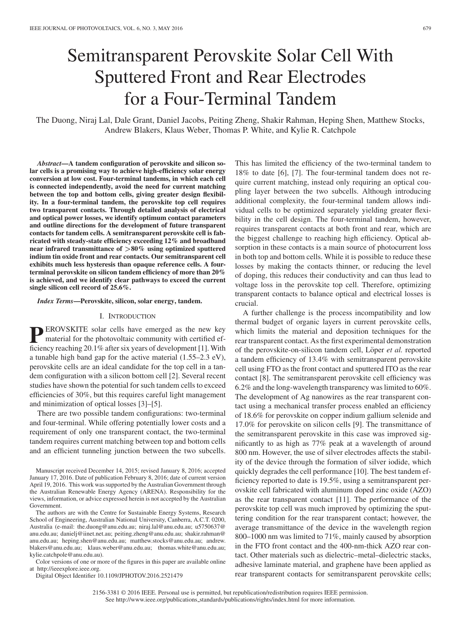# Semitransparent Perovskite Solar Cell With Sputtered Front and Rear Electrodes for a Four-Terminal Tandem

The Duong, Niraj Lal, Dale Grant, Daniel Jacobs, Peiting Zheng, Shakir Rahman, Heping Shen, Matthew Stocks, Andrew Blakers, Klaus Weber, Thomas P. White, and Kylie R. Catchpole

*Abstract***—A tandem configuration of perovskite and silicon solar cells is a promising way to achieve high-efficiency solar energy conversion at low cost. Four-terminal tandems, in which each cell is connected independently, avoid the need for current matching between the top and bottom cells, giving greater design flexibility. In a four-terminal tandem, the perovskite top cell requires two transparent contacts. Through detailed analysis of electrical and optical power losses, we identify optimum contact parameters and outline directions for the development of future transparent contacts for tandem cells. A semitransparent perovskite cell is fabricated with steady-state efficiency exceeding 12% and broadband near infrared transmittance of** *>***80% using optimized sputtered indium tin oxide front and rear contacts. Our semitransparent cell exhibits much less hysteresis than opaque reference cells. A fourterminal perovskite on silicon tandem efficiency of more than 20% is achieved, and we identify clear pathways to exceed the current single silicon cell record of 25.6%.**

*Index Terms***—Perovskite, silicon, solar energy, tandem.**

#### I. INTRODUCTION

**PEROVSKITE** solar cells have emerged as the new key material for the photographs' material for the photovoltaic community with certified efficiency reaching 20.1% after six years of development [1]. With a tunable high band gap for the active material (1.55–2.3 eV), perovskite cells are an ideal candidate for the top cell in a tandem configuration with a silicon bottom cell [2]. Several recent studies have shown the potential for such tandem cells to exceed efficiencies of 30%, but this requires careful light management and minimization of optical losses [3]–[5].

There are two possible tandem configurations: two-terminal and four-terminal. While offering potentially lower costs and a requirement of only one transparent contact, the two-terminal tandem requires current matching between top and bottom cells and an efficient tunneling junction between the two subcells.

The authors are with the Centre for Sustainable Energy Systems, Research School of Engineering, Australian National University, Canberra, A.C.T. 0200, Australia (e-mail: the.duong@anu.edu.au; niraj.lal@anu.edu.au; u5750637@ anu.edu.au; danielj@iinet.net.au; peiting.zheng@anu.edu.au; shakir.rahman@ anu.edu.au; heping.shen@anu.edu.au; matthew.stocks@anu.edu.au; andrew. blakers@anu.edu.au; klaus.weber@anu.edu.au; thomas.white@anu.edu.au; kylie.catchpole@anu.edu.au).

Color versions of one or more of the figures in this paper are available online at http://ieeexplore.ieee.org.

Digital Object Identifier 10.1109/JPHOTOV.2016.2521479

This has limited the efficiency of the two-terminal tandem to 18% to date [6], [7]. The four-terminal tandem does not require current matching, instead only requiring an optical coupling layer between the two subcells. Although introducing additional complexity, the four-terminal tandem allows individual cells to be optimized separately yielding greater flexibility in the cell design. The four-terminal tandem, however, requires transparent contacts at both front and rear, which are the biggest challenge to reaching high efficiency. Optical absorption in these contacts is a main source of photocurrent loss in both top and bottom cells. While it is possible to reduce these losses by making the contacts thinner, or reducing the level of doping, this reduces their conductivity and can thus lead to voltage loss in the perovskite top cell. Therefore, optimizing transparent contacts to balance optical and electrical losses is crucial.

A further challenge is the process incompatibility and low thermal budget of organic layers in current perovskite cells, which limits the material and deposition techniques for the rear transparent contact. As the first experimental demonstration of the perovskite-on-silicon tandem cell, Löper *et al.* reported a tandem efficiency of 13.4% with semitransparent perovskite cell using FTO as the front contact and sputtered ITO as the rear contact [8]. The semitransparent perovskite cell efficiency was 6.2% and the long-wavelength transparency was limited to 60%. The development of Ag nanowires as the rear transparent contact using a mechanical transfer process enabled an efficiency of 18.6% for perovskite on copper indium gallium selenide and 17.0% for perovskite on silicon cells [9]. The transmittance of the semitransparent perovskite in this case was improved significantly to as high as 77% peak at a wavelength of around 800 nm. However, the use of silver electrodes affects the stability of the device through the formation of silver iodide, which quickly degrades the cell performance [10]. The best tandem efficiency reported to date is 19.5%, using a semitransparent perovskite cell fabricated with aluminum doped zinc oxide (AZO) as the rear transparent contact [11]. The performance of the perovskite top cell was much improved by optimizing the sputtering condition for the rear transparent contact; however, the average transmittance of the device in the wavelength region 800–1000 nm was limited to 71%, mainly caused by absorption in the FTO front contact and the 400-nm-thick AZO rear contact. Other materials such as dielectric–metal–dielectric stacks, adhesive laminate material, and graphene have been applied as rear transparent contacts for semitransparent perovskite cells;

Manuscript received December 14, 2015; revised January 8, 2016; accepted January 17, 2016. Date of publication February 8, 2016; date of current version April 19, 2016. This work was supported by the Australian Government through the Australian Renewable Energy Agency (ARENA). Responsibility for the views, information, or advice expressed herein is not accepted by the Australian Government.

<sup>2156-3381 © 2016</sup> IEEE. Personal use is permitted, but republication/redistribution requires IEEE permission. See http://www.ieee.org/publications\_standards/publications/rights/index.html for more information.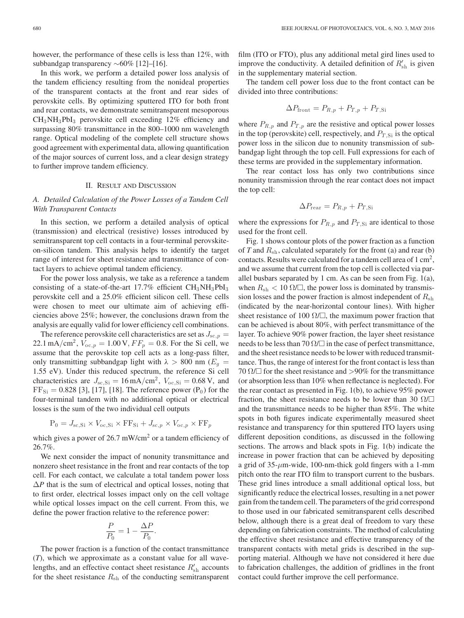however, the performance of these cells is less than 12%, with subbandgap transparency ∼60% [12]–[16].

In this work, we perform a detailed power loss analysis of the tandem efficiency resulting from the nonideal properties of the transparent contacts at the front and rear sides of perovskite cells. By optimizing sputtered ITO for both front and rear contacts, we demonstrate semitransparent mesoporous CH3NH3PbI<sup>3</sup> perovskite cell exceeding 12% efficiency and surpassing 80% transmittance in the 800–1000 nm wavelength range. Optical modeling of the complete cell structure shows good agreement with experimental data, allowing quantification of the major sources of current loss, and a clear design strategy to further improve tandem efficiency.

## II. RESULT AND DISCUSSION

## *A. Detailed Calculation of the Power Losses of a Tandem Cell With Transparent Contacts*

In this section, we perform a detailed analysis of optical (transmission) and electrical (resistive) losses introduced by semitransparent top cell contacts in a four-terminal perovskiteon-silicon tandem. This analysis helps to identify the target range of interest for sheet resistance and transmittance of contact layers to achieve optimal tandem efficiency.

For the power loss analysis, we take as a reference a tandem consisting of a state-of-the-art  $17.7\%$  efficient  $CH_3NH_3PbI_3$ perovskite cell and a 25.0% efficient silicon cell. These cells were chosen to meet our ultimate aim of achieving efficiencies above 25%; however, the conclusions drawn from the analysis are equally valid for lower efficiency cell combinations.

The reference perovskite cell characteristics are set as  $J_{\text{sc},p} =$ 22.1 mA/cm<sup>2</sup>,  $V_{oc,p} = 1.00 \text{ V}$ ,  $FF_p = 0.8$ . For the Si cell, we assume that the perovskite top cell acts as a long-pass filter, only transmitting subbandgap light with  $\lambda > 800$  nm ( $E_a$  = 1.55 eV). Under this reduced spectrum, the reference Si cell characteristics are  $J_{\text{sc,Si}} = 16 \text{ mA/cm}^2$ ,  $V_{\text{oc,Si}} = 0.68 \text{ V}$ , and  $FF_{Si} = 0.828$  [3], [17], [18]. The reference power (P<sub>0</sub>) for the four-terminal tandem with no additional optical or electrical losses is the sum of the two individual cell outputs

$$
P_0 = J_{sc, Si} \times V_{oc, Si} \times FF_{Si} + J_{sc,p} \times V_{oc,p} \times FF_p
$$

which gives a power of 26.7 mW/cm<sup>2</sup> or a tandem efficiency of 26.7%.

We next consider the impact of nonunity transmittance and nonzero sheet resistance in the front and rear contacts of the top cell. For each contact, we calculate a total tandem power loss  $\Delta P$  that is the sum of electrical and optical losses, noting that to first order, electrical losses impact only on the cell voltage while optical losses impact on the cell current. From this, we define the power fraction relative to the reference power:

$$
\frac{P}{P_0} = 1 - \frac{\Delta P}{P_0}
$$

.

The power fraction is a function of the contact transmittance (*T*), which we approximate as a constant value for all wavelengths, and an effective contact sheet resistance  $R'_{\text{sh}}$  accounts for the sheet resistance  $R_{\rm sh}$  of the conducting semitransparent film (ITO or FTO), plus any additional metal gird lines used to improve the conductivity. A detailed definition of  $R'_{\text{sh}}$  is given in the supplementary material section.

The tandem cell power loss due to the front contact can be divided into three contributions:

$$
\Delta P_{\text{front}} = P_{R,p} + P_{T,p} + P_{T,\text{Si}}
$$

where  $P_{R,p}$  and  $P_{T,p}$  are the resistive and optical power losses in the top (perovskite) cell, respectively, and  $P_{T,Si}$  is the optical power loss in the silicon due to nonunity transmission of subbandgap light through the top cell. Full expressions for each of these terms are provided in the supplementary information.

The rear contact loss has only two contributions since nonunity transmission through the rear contact does not impact the top cell:

$$
\Delta P_{\text{rear}} = P_{R,p} + P_{T,\text{Si}}
$$

where the expressions for  $P_{R,p}$  and  $P_{T,Si}$  are identical to those used for the front cell.

Fig. 1 shows contour plots of the power fraction as a function of *T* and  $R_{\rm sh}$ , calculated separately for the front (a) and rear (b) contacts. Results were calculated for a tandem cell area of  $1 \text{ cm}^2$ , and we assume that current from the top cell is collected via parallel busbars separated by 1 cm. As can be seen from Fig. 1(a), when  $R_{\rm sh}$  < 10  $\Omega/\square$ , the power loss is dominated by transmission losses and the power fraction is almost independent of  $R_{\rm sh}$ (indicated by the near-horizontal contour lines). With higher sheet resistance of 100  $\Omega/\square$ , the maximum power fraction that can be achieved is about 80%, with perfect transmittance of the layer. To achieve 90% power fraction, the layer sheet resistance needs to be less than 70  $\Omega/\square$  in the case of perfect transmittance, and the sheet resistance needs to be lower with reduced transmittance. Thus, the range of interest for the front contact is less than 70  $\Omega$ / $\Box$  for the sheet resistance and >90% for the transmittance (or absorption less than 10% when reflectance is neglected). For the rear contact as presented in Fig. 1(b), to achieve 95% power fraction, the sheet resistance needs to be lower than 30  $\Omega/\square$ and the transmittance needs to be higher than 85%. The white spots in both figures indicate experimentally measured sheet resistance and transparency for thin sputtered ITO layers using different deposition conditions, as discussed in the following sections. The arrows and black spots in Fig. 1(b) indicate the increase in power fraction that can be achieved by depositing a grid of  $35-\mu$ m-wide, 100-nm-thick gold fingers with a 1-mm pitch onto the rear ITO film to transport current to the busbars. These grid lines introduce a small additional optical loss, but significantly reduce the electrical losses, resulting in a net power gain from the tandem cell. The parameters of the grid correspond to those used in our fabricated semitransparent cells described below, although there is a great deal of freedom to vary these depending on fabrication constraints. The method of calculating the effective sheet resistance and effective transparency of the transparent contacts with metal grids is described in the supporting material. Although we have not considered it here due to fabrication challenges, the addition of gridlines in the front contact could further improve the cell performance.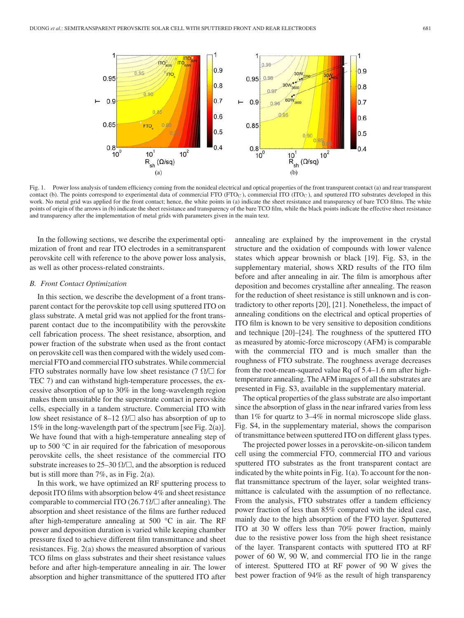

Fig. 1. Power loss analysis of tandem efficiency coming from the nonideal electrical and optical properties of the front transparent contact (a) and rear transparent contact (b). The points correspond to experimental data of commercial FTO (FTO<sub>C</sub>), commercial ITO (ITO<sub>C</sub>), and sputtered ITO substrates developed in this work. No metal grid was applied for the front contact; hence, the white points in (a) indicate the sheet resistance and transparency of bare TCO films. The white points of origin of the arrows in (b) indicate the sheet resistance and transparency of the bare TCO film, while the black points indicate the effective sheet resistance and transparency after the implementation of metal grids with parameters given in the main text.

In the following sections, we describe the experimental optimization of front and rear ITO electrodes in a semitransparent perovskite cell with reference to the above power loss analysis, as well as other process-related constraints.

#### *B. Front Contact Optimization*

In this section, we describe the development of a front transparent contact for the perovskite top cell using sputtered ITO on glass substrate. A metal grid was not applied for the front transparent contact due to the incompatibility with the perovskite cell fabrication process. The sheet resistance, absorption, and power fraction of the substrate when used as the front contact on perovskite cell was then compared with the widely used commercial FTO and commercial ITO substrates. While commercial FTO substrates normally have low sheet resistance (7  $\Omega/\square$  for TEC 7) and can withstand high-temperature processes, the excessive absorption of up to 30% in the long-wavelength region makes them unsuitable for the superstrate contact in perovskite cells, especially in a tandem structure. Commercial ITO with low sheet resistance of 8–12  $\Omega/\square$  also has absorption of up to 15% in the long-wavelength part of the spectrum [see Fig. 2(a)]. We have found that with a high-temperature annealing step of up to 500 °C in air required for the fabrication of mesoporous perovskite cells, the sheet resistance of the commercial ITO substrate increases to 25–30  $\Omega/\square$ , and the absorption is reduced but is still more than 7%, as in Fig. 2(a).

In this work, we have optimized an RF sputtering process to deposit ITO films with absorption below 4% and sheet resistance comparable to commercial ITO  $(26.7 \Omega/\square)$  after annealing). The absorption and sheet resistance of the films are further reduced after high-temperature annealing at 500 °C in air. The RF power and deposition duration is varied while keeping chamber pressure fixed to achieve different film transmittance and sheet resistances. Fig. 2(a) shows the measured absorption of various TCO films on glass substrates and their sheet resistance values before and after high-temperature annealing in air. The lower absorption and higher transmittance of the sputtered ITO after annealing are explained by the improvement in the crystal structure and the oxidation of compounds with lower valence states which appear brownish or black [19]. Fig. S3, in the supplementary material, shows XRD results of the ITO film before and after annealing in air. The film is amorphous after deposition and becomes crystalline after annealing. The reason for the reduction of sheet resistance is still unknown and is contradictory to other reports [20], [21]. Nonetheless, the impact of annealing conditions on the electrical and optical properties of ITO film is known to be very sensitive to deposition conditions and technique [20]–[24]. The roughness of the sputtered ITO as measured by atomic-force microscopy (AFM) is comparable with the commercial ITO and is much smaller than the roughness of FTO substrate. The roughness average decreases from the root-mean-squared value Rq of 5.4–1.6 nm after hightemperature annealing. The AFM images of all the substrates are presented in Fig. S3, available in the supplementary material.

The optical properties of the glass substrate are also important since the absorption of glass in the near infrared varies from less than 1% for quartz to 3–4% in normal microscope slide glass. Fig. S4, in the supplementary material, shows the comparison of transmittance between sputtered ITO on different glass types.

The projected power losses in a perovskite-on-silicon tandem cell using the commercial FTO, commercial ITO and various sputtered ITO substrates as the front transparent contact are indicated by the white points in Fig. 1(a). To account for the nonflat transmittance spectrum of the layer, solar weighted transmittance is calculated with the assumption of no reflectance. From the analysis, FTO substrates offer a tandem efficiency power fraction of less than 85% compared with the ideal case, mainly due to the high absorption of the FTO layer. Sputtered ITO at 30 W offers less than 70% power fraction, mainly due to the resistive power loss from the high sheet resistance of the layer. Transparent contacts with sputtered ITO at RF power of 60 W, 90 W, and commercial ITO lie in the range of interest. Sputtered ITO at RF power of 90 W gives the best power fraction of 94% as the result of high transparency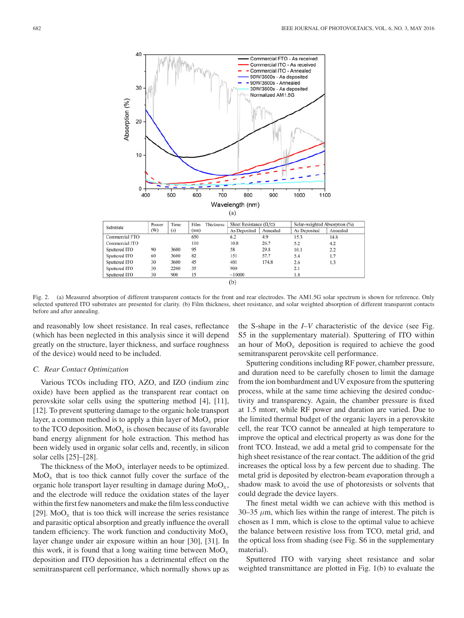

 $(b)$ 

Fig. 2. (a) Measured absorption of different transparent contacts for the front and rear electrodes. The AM1.5G solar spectrum is shown for reference. Only selected sputtered ITO substrates are presented for clarity. (b) Film thickness, sheet resistance, and solar weighted absorption of different transparent contacts before and after annealing.

and reasonably low sheet resistance. In real cases, reflectance (which has been neglected in this analysis since it will depend greatly on the structure, layer thickness, and surface roughness of the device) would need to be included.

## *C. Rear Contact Optimization*

Various TCOs including ITO, AZO, and IZO (indium zinc oxide) have been applied as the transparent rear contact on perovskite solar cells using the sputtering method [4], [11], [12]. To prevent sputtering damage to the organic hole transport layer, a common method is to apply a thin layer of  $MoO<sub>x</sub>$  prior to the TCO deposition.  $MoO<sub>x</sub>$  is chosen because of its favorable band energy alignment for hole extraction. This method has been widely used in organic solar cells and, recently, in silicon solar cells [25]–[28].

The thickness of the  $MoO<sub>x</sub>$  interlayer needs to be optimized.  $MoO<sub>x</sub>$  that is too thick cannot fully cover the surface of the organic hole transport layer resulting in damage during  $MoO<sub>x</sub>$ , and the electrode will reduce the oxidation states of the layer within the first few nanometers and make the film less conductive [29].  $MoO<sub>x</sub>$  that is too thick will increase the series resistance and parasitic optical absorption and greatly influence the overall tandem efficiency. The work function and conductivity  $MoO<sub>x</sub>$ layer change under air exposure within an hour [30], [31]. In this work, it is found that a long waiting time between  $MoO<sub>x</sub>$ deposition and ITO deposition has a detrimental effect on the semitransparent cell performance, which normally shows up as the S-shape in the *I–V* characteristic of the device (see Fig. S5 in the supplementary material). Sputtering of ITO within an hour of  $MoO<sub>x</sub>$  deposition is required to achieve the good semitransparent perovskite cell performance.

Sputtering conditions including RF power, chamber pressure, and duration need to be carefully chosen to limit the damage from the ion bombardment and UV exposure from the sputtering process, while at the same time achieving the desired conductivity and transparency. Again, the chamber pressure is fixed at 1.5 mtorr, while RF power and duration are varied. Due to the limited thermal budget of the organic layers in a perovskite cell, the rear TCO cannot be annealed at high temperature to improve the optical and electrical property as was done for the front TCO. Instead, we add a metal grid to compensate for the high sheet resistance of the rear contact. The addition of the grid increases the optical loss by a few percent due to shading. The metal grid is deposited by electron-beam evaporation through a shadow mask to avoid the use of photoresists or solvents that could degrade the device layers.

The finest metal width we can achieve with this method is 30–35  $\mu$ m, which lies within the range of interest. The pitch is chosen as 1 mm, which is close to the optimal value to achieve the balance between resistive loss from TCO, metal grid, and the optical loss from shading (see Fig. S6 in the supplementary material).

Sputtered ITO with varying sheet resistance and solar weighted transmittance are plotted in Fig. 1(b) to evaluate the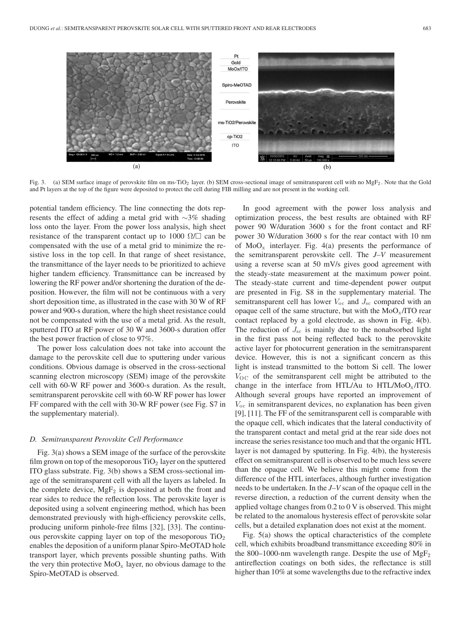

Fig. 3. (a) SEM surface image of perovskite film on ms-TiO<sub>2</sub> layer. (b) SEM cross-sectional image of semitransparent cell with no MgF<sub>2</sub>. Note that the Gold and Pt layers at the top of the figure were deposited to protect the cell during FIB milling and are not present in the working cell.

potential tandem efficiency. The line connecting the dots represents the effect of adding a metal grid with ∼3% shading loss onto the layer. From the power loss analysis, high sheet resistance of the transparent contact up to 1000  $\Omega/\square$  can be compensated with the use of a metal grid to minimize the resistive loss in the top cell. In that range of sheet resistance, the transmittance of the layer needs to be prioritized to achieve higher tandem efficiency. Transmittance can be increased by lowering the RF power and/or shortening the duration of the deposition. However, the film will not be continuous with a very short deposition time, as illustrated in the case with 30 W of RF power and 900-s duration, where the high sheet resistance could not be compensated with the use of a metal grid. As the result, sputtered ITO at RF power of 30 W and 3600-s duration offer the best power fraction of close to 97%.

The power loss calculation does not take into account the damage to the perovskite cell due to sputtering under various conditions. Obvious damage is observed in the cross-sectional scanning electron microscopy (SEM) image of the perovskite cell with 60-W RF power and 3600-s duration. As the result, semitransparent perovskite cell with 60-W RF power has lower FF compared with the cell with 30-W RF power (see Fig. S7 in the supplementary material).

#### *D. Semitransparent Perovskite Cell Performance*

Fig. 3(a) shows a SEM image of the surface of the perovskite film grown on top of the mesoporous  $TiO<sub>2</sub>$  layer on the sputtered ITO glass substrate. Fig. 3(b) shows a SEM cross-sectional image of the semitransparent cell with all the layers as labeled. In the complete device,  $MgF_2$  is deposited at both the front and rear sides to reduce the reflection loss. The perovskite layer is deposited using a solvent engineering method, which has been demonstrated previously with high-efficiency perovskite cells, producing uniform pinhole-free films [32], [33]. The continuous perovskite capping layer on top of the mesoporous  $TiO<sub>2</sub>$ enables the deposition of a uniform planar Spiro-MeOTAD hole transport layer, which prevents possible shunting paths. With the very thin protective  $MoO<sub>x</sub>$  layer, no obvious damage to the Spiro-MeOTAD is observed.

In good agreement with the power loss analysis and optimization process, the best results are obtained with RF power 90 W/duration 3600 s for the front contact and RF power 30 W/duration 3600 s for the rear contact with 10 nm of  $MoO<sub>x</sub>$  interlayer. Fig. 4(a) presents the performance of the semitransparent perovskite cell. The *J–V* measurement using a reverse scan at 50 mV/s gives good agreement with the steady-state measurement at the maximum power point. The steady-state current and time-dependent power output are presented in Fig. S8 in the supplementary material. The semitransparent cell has lower  $V_{\text{oc}}$  and  $J_{\text{sc}}$  compared with an opaque cell of the same structure, but with the  $MoO<sub>x</sub>/ITO$  rear contact replaced by a gold electrode, as shown in Fig. 4(b). The reduction of  $J_{\rm sc}$  is mainly due to the nonabsorbed light in the first pass not being reflected back to the perovskite active layer for photocurrent generation in the semitransparent device. However, this is not a significant concern as this light is instead transmitted to the bottom Si cell. The lower  $V_{\rm OC}$  of the semitransparent cell might be attributed to the change in the interface from HTL/Au to HTL/MoO<sub>x</sub>/ITO. Although several groups have reported an improvement of  $V_{\text{oc}}$  in semitransparent devices, no explanation has been given [9], [11]. The FF of the semitransparent cell is comparable with the opaque cell, which indicates that the lateral conductivity of the transparent contact and metal grid at the rear side does not increase the series resistance too much and that the organic HTL layer is not damaged by sputtering. In Fig. 4(b), the hysteresis effect on semitransparent cell is observed to be much less severe than the opaque cell. We believe this might come from the difference of the HTL interfaces, although further investigation needs to be undertaken. In the *J–V* scan of the opaque cell in the reverse direction, a reduction of the current density when the applied voltage changes from 0.2 to 0 V is observed. This might be related to the anomalous hysteresis effect of perovskite solar cells, but a detailed explanation does not exist at the moment.

Fig. 5(a) shows the optical characteristics of the complete cell, which exhibits broadband transmittance exceeding 80% in the 800–1000-nm wavelength range. Despite the use of  $MgF_2$ antireflection coatings on both sides, the reflectance is still higher than 10% at some wavelengths due to the refractive index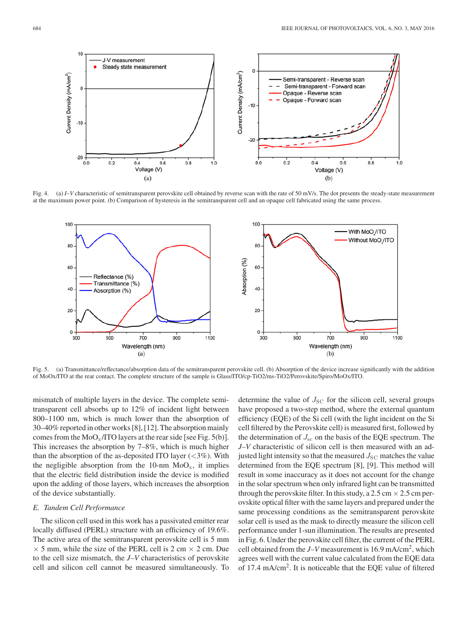

Fig. 4. (a) *I–V* characteristic of semitransparent perovskite cell obtained by reverse scan with the rate of 50 mV/s. The dot presents the steady-state measurement at the maximum power point. (b) Comparison of hysteresis in the semitransparent cell and an opaque cell fabricated using the same process.



Fig. 5. (a) Transmittance/reflectance/absorption data of the semitransparent perovskite cell. (b) Absorption of the device increase significantly with the addition of MoOx/ITO at the rear contact. The complete structure of the sample is Glass/ITO/cp-TiO2/ms-TiO2/Perovskite/Spiro/MoOx/ITO.

mismatch of multiple layers in the device. The complete semitransparent cell absorbs up to 12% of incident light between 800–1100 nm, which is much lower than the absorption of 30–40% reported in other works [8], [12]. The absorption mainly comes from the  $MoO<sub>x</sub>/ITO$  layers at the rear side [see Fig. 5(b)]. This increases the absorption by 7–8%, which is much higher than the absorption of the as-deposited ITO layer  $(<3\%)$ . With the negligible absorption from the 10-nm  $MoO<sub>x</sub>$ , it implies that the electric field distribution inside the device is modified upon the adding of those layers, which increases the absorption of the device substantially.

### *E. Tandem Cell Performance*

The silicon cell used in this work has a passivated emitter rear locally diffused (PERL) structure with an efficiency of 19.6%. The active area of the semitransparent perovskite cell is 5 mm  $\times$  5 mm, while the size of the PERL cell is 2 cm  $\times$  2 cm. Due to the cell size mismatch, the *J–V* characteristics of perovskite cell and silicon cell cannot be measured simultaneously. To determine the value of  $J_{SC}$  for the silicon cell, several groups have proposed a two-step method, where the external quantum efficiency (EQE) of the Si cell (with the light incident on the Si cell filtered by the Perovskite cell) is measured first, followed by the determination of  $J_{\rm sc}$  on the basis of the EQE spectrum. The *J–V* characteristic of silicon cell is then measured with an adjusted light intensity so that the measured  $J_{SC}$  matches the value determined from the EQE spectrum [8], [9]. This method will result in some inaccuracy as it does not account for the change in the solar spectrum when only infrared light can be transmitted through the perovskite filter. In this study, a  $2.5 \text{ cm} \times 2.5 \text{ cm}$  perovskite optical filter with the same layers and prepared under the same processing conditions as the semitransparent perovskite solar cell is used as the mask to directly measure the silicon cell performance under 1-sun illumination. The results are presented in Fig. 6. Under the perovskite cell filter, the current of the PERL cell obtained from the *J–V* measurement is 16.9 mA/cm2, which agrees well with the current value calculated from the EQE data of 17.4 mA/cm2. It is noticeable that the EQE value of filtered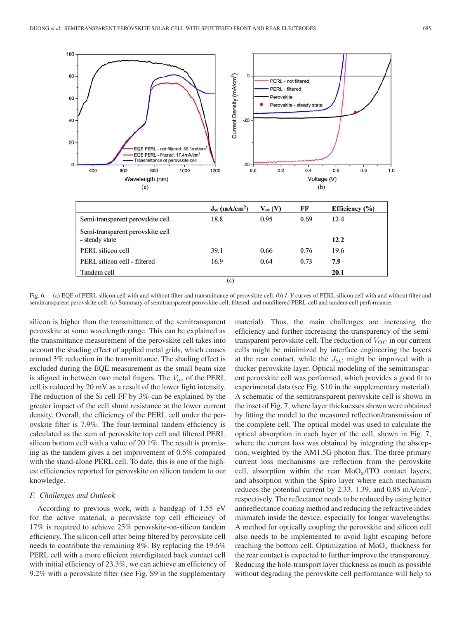

Fig. 6. (a) EQE of PERL silicon cell with and without filter and transmittance of perovskite cell. (b) *I–V* curves of PERL silicon cell with and without filter and semitransparent perovskite cell. (c) Summary of semitransparent perovskite cell, filtered, and nonfiltered PERL cell and tandem cell performance.

silicon is higher than the transmittance of the semitransparent perovskite at some wavelength range. This can be explained as the transmittance measurement of the perovskite cell takes into account the shading effect of applied metal grids, which causes around 3% reduction in the transmittance. The shading effect is excluded during the EQE measurement as the small beam size is aligned in between two metal fingers. The  $V_{\text{oc}}$  of the PERL cell is reduced by 20 mV as a result of the lower light intensity. The reduction of the Si cell FF by 3% can be explained by the greater impact of the cell shunt resistance at the lower current density. Overall, the efficiency of the PERL cell under the perovskite filter is 7.9%. The four-terminal tandem efficiency is calculated as the sum of perovskite top cell and filtered PERL silicon bottom cell with a value of 20.1%. The result is promising as the tandem gives a net improvement of 0.5% compared with the stand-alone PERL cell. To date, this is one of the highest efficiencies reported for perovskite on silicon tandem to our knowledge.

#### *F. Challenges and Outlook*

According to previous work, with a bandgap of 1.55 eV for the active material, a perovskite top cell efficiency of 17% is required to achieve 25% perovskite-on-silicon tandem efficiency. The silicon cell after being filtered by perovskite cell needs to contribute the remaining 8%. By replacing the 19.6% PERL cell with a more efficient interdigitated back contact cell with initial efficiency of 23.3%, we can achieve an efficiency of 9.2% with a perovskite filter (see Fig. S9 in the supplementary

material). Thus, the main challenges are increasing the efficiency and further increasing the transparency of the semitransparent perovskite cell. The reduction of  $V_{\text{OC}}$  in our current cells might be minimized by interface engineering the layers at the rear contact, while the  $J_{SC}$  might be improved with a thicker perovskite layer. Optical modeling of the semitransparent perovskite cell was performed, which provides a good fit to experimental data (see Fig. S10 in the supplementary material). A schematic of the semitransparent perovskite cell is shown in the inset of Fig. 7, where layer thicknesses shown were obtained by fitting the model to the measured reflection/transmission of the complete cell. The optical model was used to calculate the optical absorption in each layer of the cell, shown in Fig. 7, where the current loss was obtained by integrating the absorption, weighted by the AM1.5G photon flux. The three primary current loss mechanisms are reflection from the perovskite cell, absorption within the rear  $MoO<sub>x</sub>/ITO$  contact layers, and absorption within the Spiro layer where each mechanism reduces the potential current by 2.33, 1.39, and  $0.85 \text{ mA/cm}^2$ , respectively. The reflectance needs to be reduced by using better antireflectance coating method and reducing the refractive index mismatch inside the device, especially for longer wavelengths. A method for optically coupling the perovskite and silicon cell also needs to be implemented to avoid light escaping before reaching the bottom cell. Optimization of  $MoO<sub>x</sub>$  thickness for the rear contact is expected to further improve the transparency. Reducing the hole-transport layer thickness as much as possible without degrading the perovskite cell performance will help to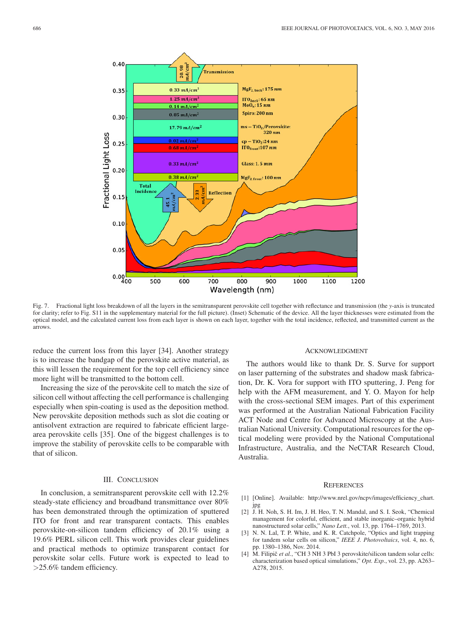

Fig. 7. Fractional light loss breakdown of all the layers in the semitransparent perovskite cell together with reflectance and transmission (the *y*-axis is truncated for clarity; refer to Fig. S11 in the supplementary material for the full picture). (Inset) Schematic of the device. All the layer thicknesses were estimated from the optical model, and the calculated current loss from each layer is shown on each layer, together with the total incidence, reflected, and transmitted current as the arrows.

reduce the current loss from this layer [34]. Another strategy is to increase the bandgap of the perovskite active material, as this will lessen the requirement for the top cell efficiency since more light will be transmitted to the bottom cell.

Increasing the size of the perovskite cell to match the size of silicon cell without affecting the cell performance is challenging especially when spin-coating is used as the deposition method. New perovskite deposition methods such as slot die coating or antisolvent extraction are required to fabricate efficient largearea perovskite cells [35]. One of the biggest challenges is to improve the stability of perovskite cells to be comparable with that of silicon.

## III. CONCLUSION

In conclusion, a semitransparent perovskite cell with 12.2% steady-state efficiency and broadband transmittance over 80% has been demonstrated through the optimization of sputtered ITO for front and rear transparent contacts. This enables perovskite-on-silicon tandem efficiency of 20.1% using a 19.6% PERL silicon cell. This work provides clear guidelines and practical methods to optimize transparent contact for perovskite solar cells. Future work is expected to lead to >25.6% tandem efficiency.

#### ACKNOWLEDGMENT

The authors would like to thank Dr. S. Surve for support on laser patterning of the substrates and shadow mask fabrication, Dr. K. Vora for support with ITO sputtering, J. Peng for help with the AFM measurement, and Y. O. Mayon for help with the cross-sectional SEM images. Part of this experiment was performed at the Australian National Fabrication Facility ACT Node and Centre for Advanced Microscopy at the Australian National University. Computational resources for the optical modeling were provided by the National Computational Infrastructure, Australia, and the NeCTAR Research Cloud, Australia.

#### **REFERENCES**

- [1] [Online]. Available: http://www.nrel.gov/ncpv/images/efficiency\_chart. jpg
- [2] J. H. Noh, S. H. Im, J. H. Heo, T. N. Mandal, and S. I. Seok, "Chemical management for colorful, efficient, and stable inorganic–organic hybrid nanostructured solar cells," *Nano Lett.*, vol. 13, pp. 1764–1769, 2013.
- [3] N. N. Lal, T. P. White, and K. R. Catchpole, "Optics and light trapping for tandem solar cells on silicon," *IEEE J. Photovoltaics*, vol. 4, no. 6, pp. 1380–1386, Nov. 2014.
- [4] M. Filipič et al., "CH 3 NH 3 PbI 3 perovskite/silicon tandem solar cells: characterization based optical simulations," *Opt. Exp.*, vol. 23, pp. A263– A278, 2015.